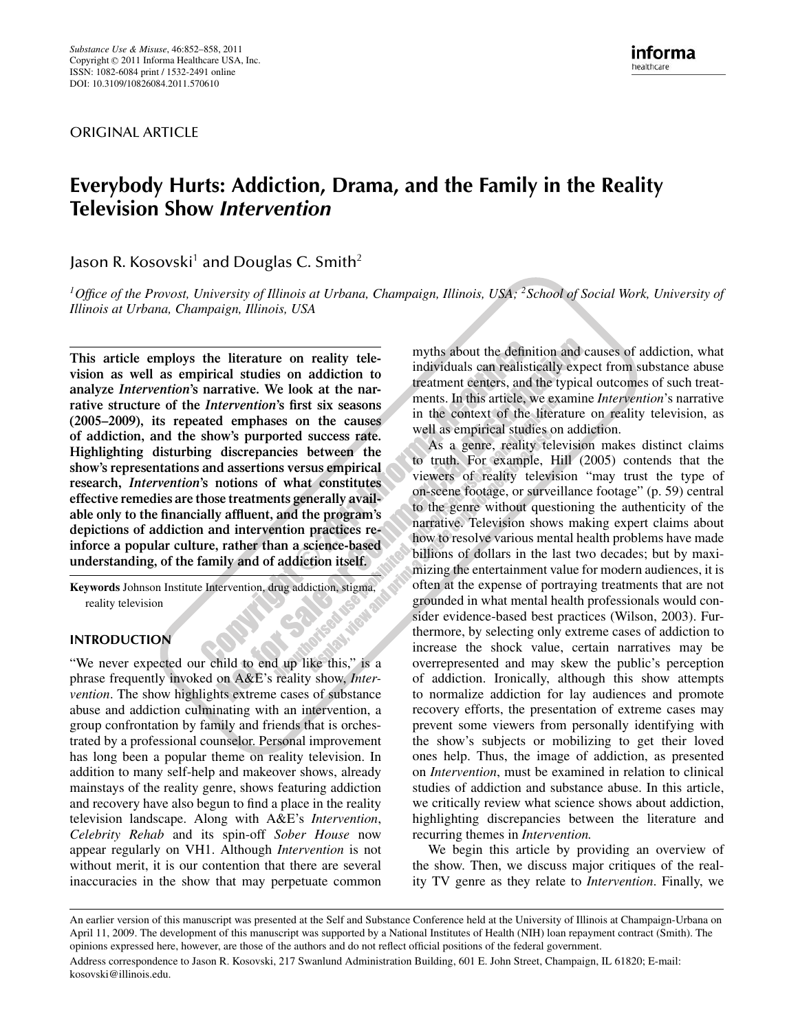ORIGINAL ARTICLE

# *Everybody Hurts: Addiction, Drama, and the Family in the Reality Television Show Intervention*

Jason R. Kosovski<sup>1</sup> and Douglas C. Smith<sup>2</sup>

*1Office of the Provost, University of Illinois at Urbana, Champaign, Illinois, USA; 2School of Social Work, University of Illinois at Urbana, Champaign, Illinois, USA*

*This article employs the literature on reality television as well as empirical studies on addiction to analyze Intervention's narrative. We look at the narrative structure of the Intervention's first six seasons (2005–2009), its repeated emphases on the causes of addiction, and the show's purported success rate. Highlighting disturbing discrepancies between the show's representations and assertions versus empirical research, Intervention's notions of what constitutes effective remedies are those treatments generally available only to the financially affluent, and the program's depictions of addiction and intervention practices reinforce a popular culture, rather than a science-based understanding, of the family and of addiction itself.*

*Keywords Johnson Institute Intervention, drug addiction, stigma, reality television* **SPORT** 

## *INTRODUCTION*

*"We never expected our child to end up like this," is a phrase frequently invoked on A&E's reality show, Intervention. The show highlights extreme cases of substance abuse and addiction culminating with an intervention, a group confrontation by family and friends that is orchestrated by a professional counselor. Personal improvement has long been a popular theme on reality television. In addition to many self-help and makeover shows, already mainstays of the reality genre, shows featuring addiction and recovery have also begun to find a place in the reality television landscape. Along with A&E's Intervention, Celebrity Rehab and its spin-off Sober House now appear regularly on VH1. Although Intervention is not without merit, it is our contention that there are several inaccuracies in the show that may perpetuate common*

*myths about the definition and causes of addiction, what individuals can realistically expect from substance abuse treatment centers, and the typical outcomes of such treatments. In this article, we examine Intervention's narrative in the context of the literature on reality television, as well as empirical studies on addiction.*

*As a genre, reality television makes distinct claims to truth. For example, Hill (2005) contends that the viewers of reality television "may trust the type of on-scene footage, or surveillance footage" (p. 59) central to the genre without questioning the authenticity of the narrative. Television shows making expert claims about how to resolve various mental health problems have made billions of dollars in the last two decades; but by maximizing the entertainment value for modern audiences, it is often at the expense of portraying treatments that are not grounded in what mental health professionals would consider evidence-based best practices (Wilson, 2003). Furthermore, by selecting only extreme cases of addiction to increase the shock value, certain narratives may be overrepresented and may skew the public's perception of addiction. Ironically, although this show attempts to normalize addiction for lay audiences and promote recovery efforts, the presentation of extreme cases may prevent some viewers from personally identifying with the show's subjects or mobilizing to get their loved ones help. Thus, the image of addiction, as presented on Intervention, must be examined in relation to clinical studies of addiction and substance abuse. In this article, we critically review what science shows about addiction, highlighting discrepancies between the literature and recurring themes in Intervention.*

*We begin this article by providing an overview of the show. Then, we discuss major critiques of the reality TV genre as they relate to Intervention. Finally, we*

*An earlier version of this manuscript was presented at the Self and Substance Conference held at the University of Illinois at Champaign-Urbana on April 11, 2009. The development of this manuscript was supported by a National Institutes of Health (NIH) loan repayment contract (Smith). The opinions expressed here, however, are those of the authors and do not reflect official positions of the federal government. Address correspondence to Jason R. Kosovski, 217 Swanlund Administration Building, 601 E. John Street, Champaign, IL 61820; E-mail: kosovski@illinois.edu.*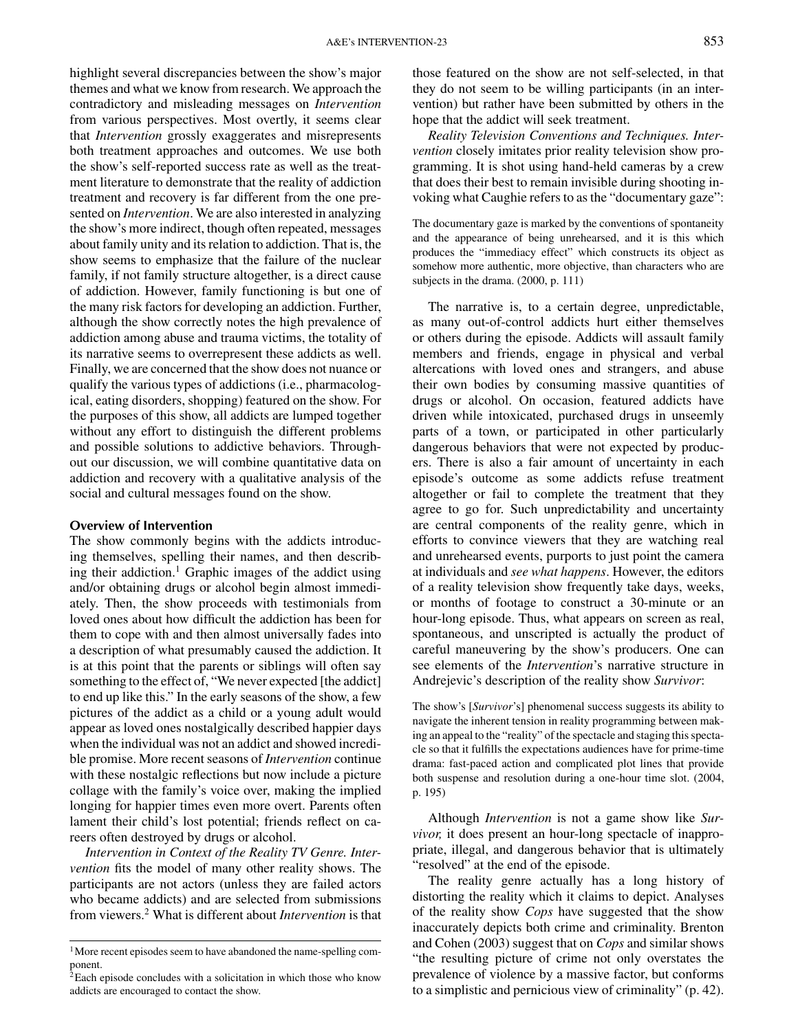*highlight several discrepancies between the show's major themes and what we know from research. We approach the contradictory and misleading messages on Intervention from various perspectives. Most overtly, it seems clear that Intervention grossly exaggerates and misrepresents both treatment approaches and outcomes. We use both the show's self-reported success rate as well as the treatment literature to demonstrate that the reality of addiction treatment and recovery is far different from the one presented on Intervention. We are also interested in analyzing the show's more indirect, though often repeated, messages about family unity and its relation to addiction. That is, the show seems to emphasize that the failure of the nuclear family, if not family structure altogether, is a direct cause of addiction. However, family functioning is but one of the many risk factors for developing an addiction. Further, although the show correctly notes the high prevalence of addiction among abuse and trauma victims, the totality of its narrative seems to overrepresent these addicts as well. Finally, we are concerned that the show does not nuance or qualify the various types of addictions (i.e., pharmacological, eating disorders, shopping) featured on the show. For the purposes of this show, all addicts are lumped together without any effort to distinguish the different problems and possible solutions to addictive behaviors. Throughout our discussion, we will combine quantitative data on addiction and recovery with a qualitative analysis of the social and cultural messages found on the show.*

## *Overview of Intervention*

*The show commonly begins with the addicts introducing themselves, spelling their names, and then describing their addiction.<sup>1</sup> Graphic images of the addict using and/or obtaining drugs or alcohol begin almost immediately. Then, the show proceeds with testimonials from loved ones about how difficult the addiction has been for them to cope with and then almost universally fades into a description of what presumably caused the addiction. It is at this point that the parents or siblings will often say something to the effect of, "We never expected [the addict] to end up like this." In the early seasons of the show, a few pictures of the addict as a child or a young adult would appear as loved ones nostalgically described happier days when the individual was not an addict and showed incredible promise. More recent seasons of Intervention continue with these nostalgic reflections but now include a picture collage with the family's voice over, making the implied longing for happier times even more overt. Parents often lament their child's lost potential; friends reflect on careers often destroyed by drugs or alcohol.*

*Intervention in Context of the Reality TV Genre. Intervention fits the model of many other reality shows. The participants are not actors (unless they are failed actors who became addicts) and are selected from submissions from viewers.<sup>2</sup> What is different about Intervention is that* *those featured on the show are not self-selected, in that they do not seem to be willing participants (in an intervention) but rather have been submitted by others in the hope that the addict will seek treatment.*

*Reality Television Conventions and Techniques. Intervention closely imitates prior reality television show programming. It is shot using hand-held cameras by a crew that does their best to remain invisible during shooting invoking what Caughie refers to as the "documentary gaze":*

*The documentary gaze is marked by the conventions of spontaneity and the appearance of being unrehearsed, and it is this which produces the "immediacy effect" which constructs its object as somehow more authentic, more objective, than characters who are subjects in the drama. (2000, p. 111)*

*The narrative is, to a certain degree, unpredictable, as many out-of-control addicts hurt either themselves or others during the episode. Addicts will assault family members and friends, engage in physical and verbal altercations with loved ones and strangers, and abuse their own bodies by consuming massive quantities of drugs or alcohol. On occasion, featured addicts have driven while intoxicated, purchased drugs in unseemly parts of a town, or participated in other particularly dangerous behaviors that were not expected by producers. There is also a fair amount of uncertainty in each episode's outcome as some addicts refuse treatment altogether or fail to complete the treatment that they agree to go for. Such unpredictability and uncertainty are central components of the reality genre, which in efforts to convince viewers that they are watching real and unrehearsed events, purports to just point the camera at individuals and see what happens. However, the editors of a reality television show frequently take days, weeks, or months of footage to construct a 30-minute or an hour-long episode. Thus, what appears on screen as real, spontaneous, and unscripted is actually the product of careful maneuvering by the show's producers. One can see elements of the Intervention's narrative structure in Andrejevic's description of the reality show Survivor:*

*The show's [Survivor's] phenomenal success suggests its ability to navigate the inherent tension in reality programming between making an appeal to the "reality" of the spectacle and staging this spectacle so that it fulfills the expectations audiences have for prime-time drama: fast-paced action and complicated plot lines that provide both suspense and resolution during a one-hour time slot. (2004, p. 195)*

*Although Intervention is not a game show like Survivor, it does present an hour-long spectacle of inappropriate, illegal, and dangerous behavior that is ultimately "resolved" at the end of the episode.*

*The reality genre actually has a long history of distorting the reality which it claims to depict. Analyses of the reality show Cops have suggested that the show inaccurately depicts both crime and criminality. Brenton and Cohen (2003) suggest that on Cops and similar shows "the resulting picture of crime not only overstates the prevalence of violence by a massive factor, but conforms to a simplistic and pernicious view of criminality" (p. 42).*

*<sup>1</sup>More recent episodes seem to have abandoned the name-spelling component.*

*<sup>2</sup>Each episode concludes with a solicitation in which those who know addicts are encouraged to contact the show.*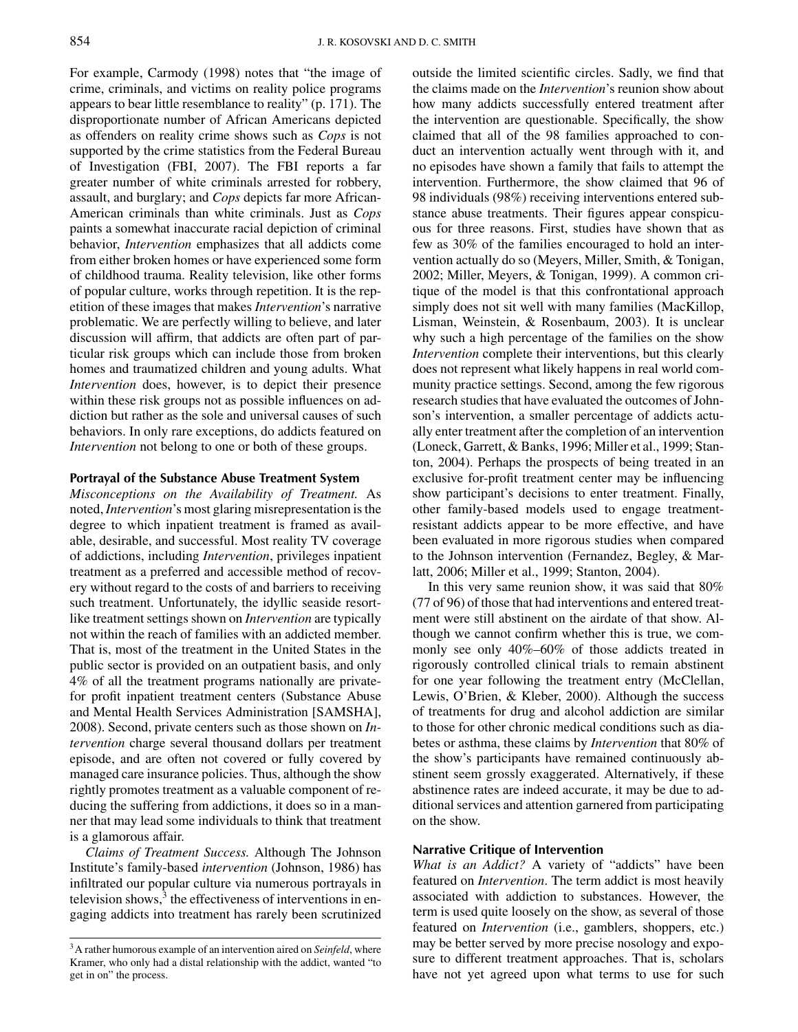*For example, Carmody (1998) notes that "the image of crime, criminals, and victims on reality police programs appears to bear little resemblance to reality" (p. 171). The disproportionate number of African Americans depicted as offenders on reality crime shows such as Cops is not supported by the crime statistics from the Federal Bureau of Investigation (FBI, 2007). The FBI reports a far greater number of white criminals arrested for robbery, assault, and burglary; and Cops depicts far more African-American criminals than white criminals. Just as Cops paints a somewhat inaccurate racial depiction of criminal behavior, Intervention emphasizes that all addicts come from either broken homes or have experienced some form of childhood trauma. Reality television, like other forms of popular culture, works through repetition. It is the repetition of these images that makes Intervention's narrative problematic. We are perfectly willing to believe, and later discussion will affirm, that addicts are often part of particular risk groups which can include those from broken homes and traumatized children and young adults. What Intervention does, however, is to depict their presence within these risk groups not as possible influences on addiction but rather as the sole and universal causes of such behaviors. In only rare exceptions, do addicts featured on Intervention not belong to one or both of these groups.*

## *Portrayal of the Substance Abuse Treatment System*

*Misconceptions on the Availability of Treatment. As noted, Intervention's most glaring misrepresentation is the degree to which inpatient treatment is framed as available, desirable, and successful. Most reality TV coverage of addictions, including Intervention, privileges inpatient treatment as a preferred and accessible method of recovery without regard to the costs of and barriers to receiving such treatment. Unfortunately, the idyllic seaside resortlike treatment settings shown on Intervention are typically not within the reach of families with an addicted member. That is, most of the treatment in the United States in the public sector is provided on an outpatient basis, and only 4% of all the treatment programs nationally are privatefor profit inpatient treatment centers (Substance Abuse and Mental Health Services Administration [SAMSHA], 2008). Second, private centers such as those shown on Intervention charge several thousand dollars per treatment episode, and are often not covered or fully covered by managed care insurance policies. Thus, although the show rightly promotes treatment as a valuable component of reducing the suffering from addictions, it does so in a manner that may lead some individuals to think that treatment is a glamorous affair.*

*Claims of Treatment Success. Although The Johnson Institute's family-based intervention (Johnson, 1986) has infiltrated our popular culture via numerous portrayals in television shows,<sup>3</sup> the effectiveness of interventions in engaging addicts into treatment has rarely been scrutinized*

*outside the limited scientific circles. Sadly, we find that the claims made on the Intervention's reunion show about how many addicts successfully entered treatment after the intervention are questionable. Specifically, the show claimed that all of the 98 families approached to conduct an intervention actually went through with it, and no episodes have shown a family that fails to attempt the intervention. Furthermore, the show claimed that 96 of 98 individuals (98%) receiving interventions entered substance abuse treatments. Their figures appear conspicuous for three reasons. First, studies have shown that as few as 30% of the families encouraged to hold an intervention actually do so (Meyers, Miller, Smith, & Tonigan, 2002; Miller, Meyers, & Tonigan, 1999). A common critique of the model is that this confrontational approach simply does not sit well with many families (MacKillop, Lisman, Weinstein, & Rosenbaum, 2003). It is unclear why such a high percentage of the families on the show Intervention complete their interventions, but this clearly does not represent what likely happens in real world community practice settings. Second, among the few rigorous research studies that have evaluated the outcomes of Johnson's intervention, a smaller percentage of addicts actually enter treatment after the completion of an intervention (Loneck, Garrett, & Banks, 1996; Miller et al., 1999; Stanton, 2004). Perhaps the prospects of being treated in an exclusive for-profit treatment center may be influencing show participant's decisions to enter treatment. Finally, other family-based models used to engage treatmentresistant addicts appear to be more effective, and have been evaluated in more rigorous studies when compared to the Johnson intervention (Fernandez, Begley, & Marlatt, 2006; Miller et al., 1999; Stanton, 2004).*

*In this very same reunion show, it was said that 80% (77 of 96) of those that had interventions and entered treatment were still abstinent on the airdate of that show. Although we cannot confirm whether this is true, we commonly see only 40%–60% of those addicts treated in rigorously controlled clinical trials to remain abstinent for one year following the treatment entry (McClellan, Lewis, O'Brien, & Kleber, 2000). Although the success of treatments for drug and alcohol addiction are similar to those for other chronic medical conditions such as diabetes or asthma, these claims by Intervention that 80% of the show's participants have remained continuously abstinent seem grossly exaggerated. Alternatively, if these abstinence rates are indeed accurate, it may be due to additional services and attention garnered from participating on the show.*

## *Narrative Critique of Intervention*

*What is an Addict? A variety of "addicts" have been featured on Intervention. The term addict is most heavily associated with addiction to substances. However, the term is used quite loosely on the show, as several of those featured on Intervention (i.e., gamblers, shoppers, etc.) may be better served by more precise nosology and exposure to different treatment approaches. That is, scholars have not yet agreed upon what terms to use for such*

*<sup>3</sup>A rather humorous example of an intervention aired on Seinfeld, where Kramer, who only had a distal relationship with the addict, wanted "to get in on" the process.*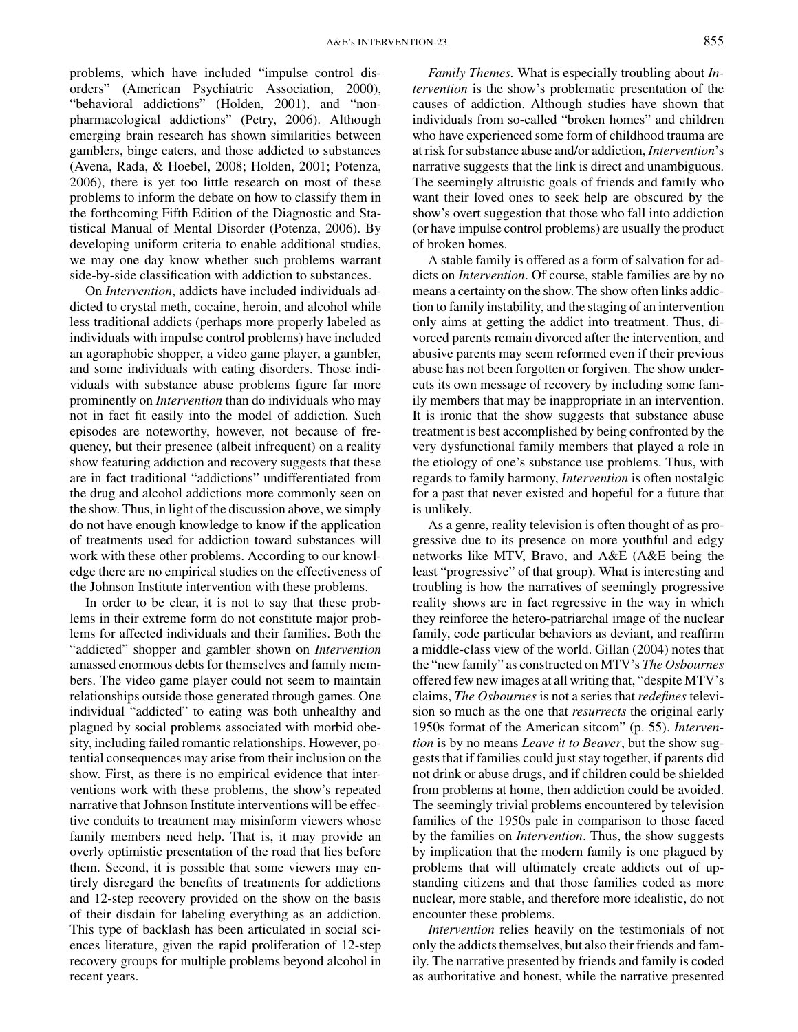*problems, which have included "impulse control disorders" (American Psychiatric Association, 2000), "behavioral addictions" (Holden, 2001), and "nonpharmacological addictions" (Petry, 2006). Although emerging brain research has shown similarities between gamblers, binge eaters, and those addicted to substances (Avena, Rada, & Hoebel, 2008; Holden, 2001; Potenza, 2006), there is yet too little research on most of these problems to inform the debate on how to classify them in the forthcoming Fifth Edition of the Diagnostic and Statistical Manual of Mental Disorder (Potenza, 2006). By developing uniform criteria to enable additional studies, we may one day know whether such problems warrant side-by-side classification with addiction to substances.*

*On Intervention, addicts have included individuals addicted to crystal meth, cocaine, heroin, and alcohol while less traditional addicts (perhaps more properly labeled as individuals with impulse control problems) have included an agoraphobic shopper, a video game player, a gambler, and some individuals with eating disorders. Those individuals with substance abuse problems figure far more prominently on Intervention than do individuals who may not in fact fit easily into the model of addiction. Such episodes are noteworthy, however, not because of frequency, but their presence (albeit infrequent) on a reality show featuring addiction and recovery suggests that these are in fact traditional "addictions" undifferentiated from the drug and alcohol addictions more commonly seen on the show. Thus, in light of the discussion above, we simply do not have enough knowledge to know if the application of treatments used for addiction toward substances will work with these other problems. According to our knowledge there are no empirical studies on the effectiveness of the Johnson Institute intervention with these problems.*

*In order to be clear, it is not to say that these problems in their extreme form do not constitute major problems for affected individuals and their families. Both the "addicted" shopper and gambler shown on Intervention amassed enormous debts for themselves and family members. The video game player could not seem to maintain relationships outside those generated through games. One individual "addicted" to eating was both unhealthy and plagued by social problems associated with morbid obesity, including failed romantic relationships. However, potential consequences may arise from their inclusion on the show. First, as there is no empirical evidence that interventions work with these problems, the show's repeated narrative that Johnson Institute interventions will be effective conduits to treatment may misinform viewers whose family members need help. That is, it may provide an overly optimistic presentation of the road that lies before them. Second, it is possible that some viewers may entirely disregard the benefits of treatments for addictions and 12-step recovery provided on the show on the basis of their disdain for labeling everything as an addiction. This type of backlash has been articulated in social sciences literature, given the rapid proliferation of 12-step recovery groups for multiple problems beyond alcohol in recent years.*

*Family Themes. What is especially troubling about Intervention is the show's problematic presentation of the causes of addiction. Although studies have shown that individuals from so-called "broken homes" and children who have experienced some form of childhood trauma are at risk for substance abuse and/or addiction, Intervention's narrative suggests that the link is direct and unambiguous. The seemingly altruistic goals of friends and family who want their loved ones to seek help are obscured by the show's overt suggestion that those who fall into addiction (or have impulse control problems) are usually the product of broken homes.*

*A stable family is offered as a form of salvation for addicts on Intervention. Of course, stable families are by no means a certainty on the show. The show often links addiction to family instability, and the staging of an intervention only aims at getting the addict into treatment. Thus, divorced parents remain divorced after the intervention, and abusive parents may seem reformed even if their previous abuse has not been forgotten or forgiven. The show undercuts its own message of recovery by including some family members that may be inappropriate in an intervention. It is ironic that the show suggests that substance abuse treatment is best accomplished by being confronted by the very dysfunctional family members that played a role in the etiology of one's substance use problems. Thus, with regards to family harmony, Intervention is often nostalgic for a past that never existed and hopeful for a future that is unlikely.*

*As a genre, reality television is often thought of as progressive due to its presence on more youthful and edgy networks like MTV, Bravo, and A&E (A&E being the least "progressive" of that group). What is interesting and troubling is how the narratives of seemingly progressive reality shows are in fact regressive in the way in which they reinforce the hetero-patriarchal image of the nuclear family, code particular behaviors as deviant, and reaffirm a middle-class view of the world. Gillan (2004) notes that the "new family" as constructed on MTV's The Osbournes offered few new images at all writing that, "despite MTV's claims, The Osbournes is not a series that redefines television so much as the one that resurrects the original early 1950s format of the American sitcom" (p. 55). Intervention is by no means Leave it to Beaver, but the show suggests that if families could just stay together, if parents did not drink or abuse drugs, and if children could be shielded from problems at home, then addiction could be avoided. The seemingly trivial problems encountered by television families of the 1950s pale in comparison to those faced by the families on Intervention. Thus, the show suggests by implication that the modern family is one plagued by problems that will ultimately create addicts out of upstanding citizens and that those families coded as more nuclear, more stable, and therefore more idealistic, do not encounter these problems.*

*Intervention relies heavily on the testimonials of not only the addicts themselves, but also their friends and family. The narrative presented by friends and family is coded as authoritative and honest, while the narrative presented*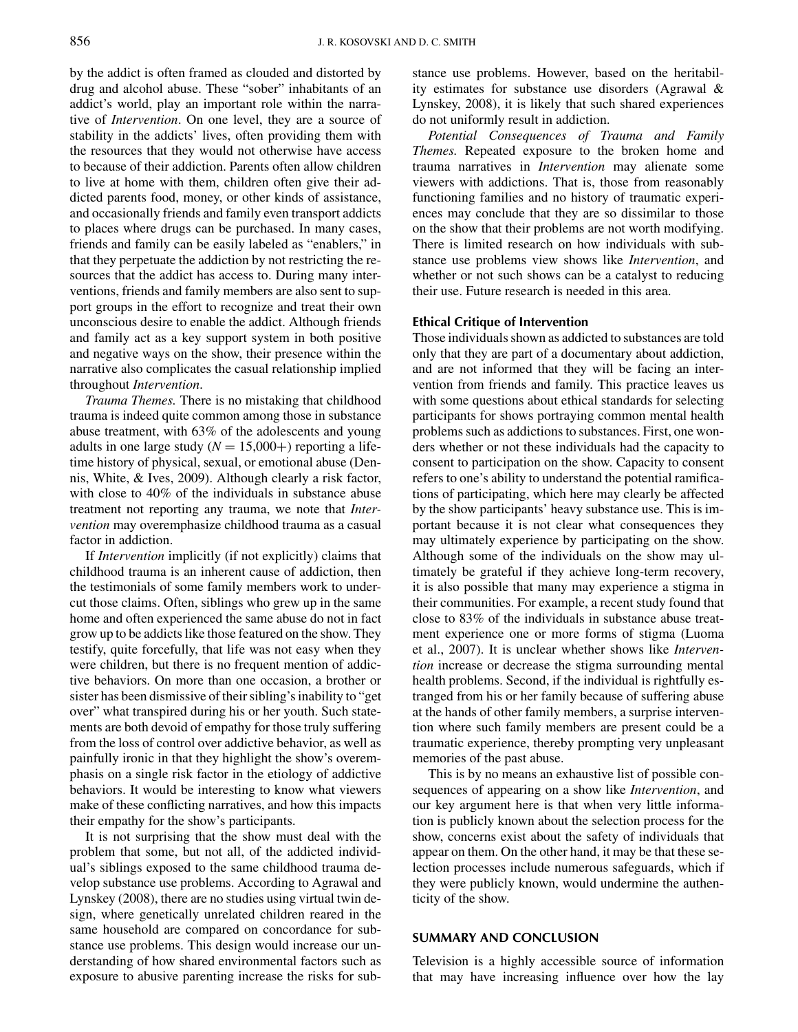*by the addict is often framed as clouded and distorted by drug and alcohol abuse. These "sober" inhabitants of an addict's world, play an important role within the narrative of Intervention. On one level, they are a source of stability in the addicts' lives, often providing them with the resources that they would not otherwise have access to because of their addiction. Parents often allow children to live at home with them, children often give their addicted parents food, money, or other kinds of assistance, and occasionally friends and family even transport addicts to places where drugs can be purchased. In many cases, friends and family can be easily labeled as "enablers," in that they perpetuate the addiction by not restricting the resources that the addict has access to. During many interventions, friends and family members are also sent to support groups in the effort to recognize and treat their own unconscious desire to enable the addict. Although friends and family act as a key support system in both positive and negative ways on the show, their presence within the narrative also complicates the casual relationship implied throughout Intervention.*

*Trauma Themes. There is no mistaking that childhood trauma is indeed quite common among those in substance abuse treatment, with 63% of the adolescents and young adults in one large study (* $N = 15,000+$ *) reporting a lifetime history of physical, sexual, or emotional abuse (Dennis, White, & Ives, 2009). Although clearly a risk factor, with close to 40% of the individuals in substance abuse treatment not reporting any trauma, we note that Intervention may overemphasize childhood trauma as a casual factor in addiction.*

*If Intervention implicitly (if not explicitly) claims that childhood trauma is an inherent cause of addiction, then the testimonials of some family members work to undercut those claims. Often, siblings who grew up in the same home and often experienced the same abuse do not in fact grow up to be addicts like those featured on the show. They testify, quite forcefully, that life was not easy when they were children, but there is no frequent mention of addictive behaviors. On more than one occasion, a brother or sister has been dismissive of their sibling's inability to "get over" what transpired during his or her youth. Such statements are both devoid of empathy for those truly suffering from the loss of control over addictive behavior, as well as painfully ironic in that they highlight the show's overemphasis on a single risk factor in the etiology of addictive behaviors. It would be interesting to know what viewers make of these conflicting narratives, and how this impacts their empathy for the show's participants.*

*It is not surprising that the show must deal with the problem that some, but not all, of the addicted individual's siblings exposed to the same childhood trauma develop substance use problems. According to Agrawal and Lynskey (2008), there are no studies using virtual twin design, where genetically unrelated children reared in the same household are compared on concordance for substance use problems. This design would increase our understanding of how shared environmental factors such as exposure to abusive parenting increase the risks for sub-* *stance use problems. However, based on the heritability estimates for substance use disorders (Agrawal & Lynskey, 2008), it is likely that such shared experiences do not uniformly result in addiction.*

*Potential Consequences of Trauma and Family Themes. Repeated exposure to the broken home and trauma narratives in Intervention may alienate some viewers with addictions. That is, those from reasonably functioning families and no history of traumatic experiences may conclude that they are so dissimilar to those on the show that their problems are not worth modifying. There is limited research on how individuals with substance use problems view shows like Intervention, and whether or not such shows can be a catalyst to reducing their use. Future research is needed in this area.*

# *Ethical Critique of Intervention*

*Those individuals shown as addicted to substances are told only that they are part of a documentary about addiction, and are not informed that they will be facing an intervention from friends and family. This practice leaves us with some questions about ethical standards for selecting participants for shows portraying common mental health problems such as addictions to substances. First, one wonders whether or not these individuals had the capacity to consent to participation on the show. Capacity to consent refers to one's ability to understand the potential ramifications of participating, which here may clearly be affected by the show participants' heavy substance use. This is important because it is not clear what consequences they may ultimately experience by participating on the show. Although some of the individuals on the show may ultimately be grateful if they achieve long-term recovery, it is also possible that many may experience a stigma in their communities. For example, a recent study found that close to 83% of the individuals in substance abuse treatment experience one or more forms of stigma (Luoma et al., 2007). It is unclear whether shows like Intervention increase or decrease the stigma surrounding mental health problems. Second, if the individual is rightfully estranged from his or her family because of suffering abuse at the hands of other family members, a surprise intervention where such family members are present could be a traumatic experience, thereby prompting very unpleasant memories of the past abuse.*

*This is by no means an exhaustive list of possible consequences of appearing on a show like Intervention, and our key argument here is that when very little information is publicly known about the selection process for the show, concerns exist about the safety of individuals that appear on them. On the other hand, it may be that these selection processes include numerous safeguards, which if they were publicly known, would undermine the authenticity of the show.*

# *SUMMARY AND CONCLUSION*

*Television is a highly accessible source of information that may have increasing influence over how the lay*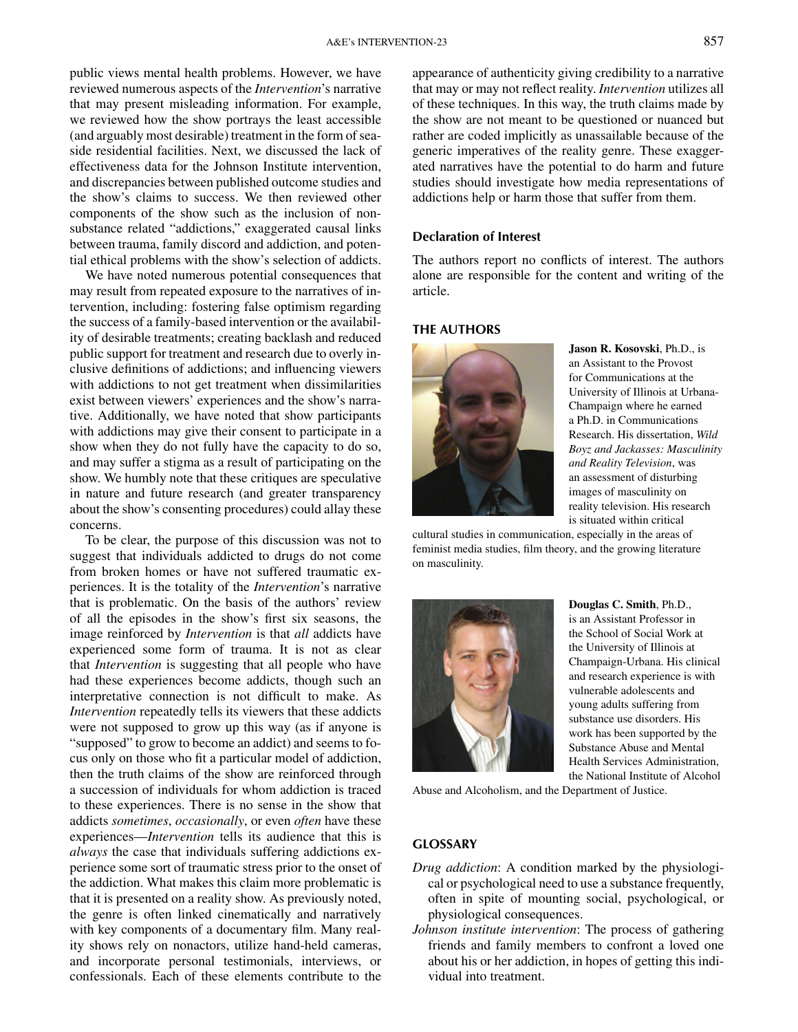*public views mental health problems. However, we have reviewed numerous aspects of the Intervention's narrative that may present misleading information. For example, we reviewed how the show portrays the least accessible (and arguably most desirable) treatment in the form of seaside residential facilities. Next, we discussed the lack of effectiveness data for the Johnson Institute intervention, and discrepancies between published outcome studies and the show's claims to success. We then reviewed other components of the show such as the inclusion of nonsubstance related "addictions," exaggerated causal links between trauma, family discord and addiction, and potential ethical problems with the show's selection of addicts.*

*We have noted numerous potential consequences that may result from repeated exposure to the narratives of intervention, including: fostering false optimism regarding the success of a family-based intervention or the availability of desirable treatments; creating backlash and reduced public support for treatment and research due to overly inclusive definitions of addictions; and influencing viewers with addictions to not get treatment when dissimilarities exist between viewers' experiences and the show's narrative. Additionally, we have noted that show participants with addictions may give their consent to participate in a show when they do not fully have the capacity to do so, and may suffer a stigma as a result of participating on the show. We humbly note that these critiques are speculative in nature and future research (and greater transparency about the show's consenting procedures) could allay these concerns.*

*To be clear, the purpose of this discussion was not to suggest that individuals addicted to drugs do not come from broken homes or have not suffered traumatic experiences. It is the totality of the Intervention's narrative that is problematic. On the basis of the authors' review of all the episodes in the show's first six seasons, the image reinforced by Intervention is that all addicts have experienced some form of trauma. It is not as clear that Intervention is suggesting that all people who have had these experiences become addicts, though such an interpretative connection is not difficult to make. As Intervention repeatedly tells its viewers that these addicts were not supposed to grow up this way (as if anyone is "supposed" to grow to become an addict) and seems to focus only on those who fit a particular model of addiction, then the truth claims of the show are reinforced through a succession of individuals for whom addiction is traced to these experiences. There is no sense in the show that addicts sometimes, occasionally, or even often have these experiences—Intervention tells its audience that this is always the case that individuals suffering addictions experience some sort of traumatic stress prior to the onset of the addiction. What makes this claim more problematic is that it is presented on a reality show. As previously noted, the genre is often linked cinematically and narratively with key components of a documentary film. Many reality shows rely on nonactors, utilize hand-held cameras, and incorporate personal testimonials, interviews, or confessionals. Each of these elements contribute to the* *appearance of authenticity giving credibility to a narrative that may or may not reflect reality. Intervention utilizes all of these techniques. In this way, the truth claims made by the show are not meant to be questioned or nuanced but rather are coded implicitly as unassailable because of the generic imperatives of the reality genre. These exaggerated narratives have the potential to do harm and future studies should investigate how media representations of addictions help or harm those that suffer from them.*

## *Declaration of Interest*

*The authors report no conflicts of interest. The authors alone are responsible for the content and writing of the article.*

## *THE AUTHORS*



*Jason R. Kosovski, Ph.D., is an Assistant to the Provost for Communications at the University of Illinois at Urbana-Champaign where he earned a Ph.D. in Communications Research. His dissertation, Wild Boyz and Jackasses: Masculinity and Reality Television, was an assessment of disturbing images of masculinity on reality television. His research is situated within critical*

*cultural studies in communication, especially in the areas of feminist media studies, film theory, and the growing literature on masculinity.*



*Douglas C. Smith, Ph.D., is an Assistant Professor in the School of Social Work at the University of Illinois at Champaign-Urbana. His clinical and research experience is with vulnerable adolescents and young adults suffering from substance use disorders. His work has been supported by the Substance Abuse and Mental Health Services Administration, the National Institute of Alcohol*

*Abuse and Alcoholism, and the Department of Justice.*

### *GLOSSARY*

- *Drug addiction: A condition marked by the physiological or psychological need to use a substance frequently, often in spite of mounting social, psychological, or physiological consequences.*
- *Johnson institute intervention: The process of gathering friends and family members to confront a loved one about his or her addiction, in hopes of getting this individual into treatment.*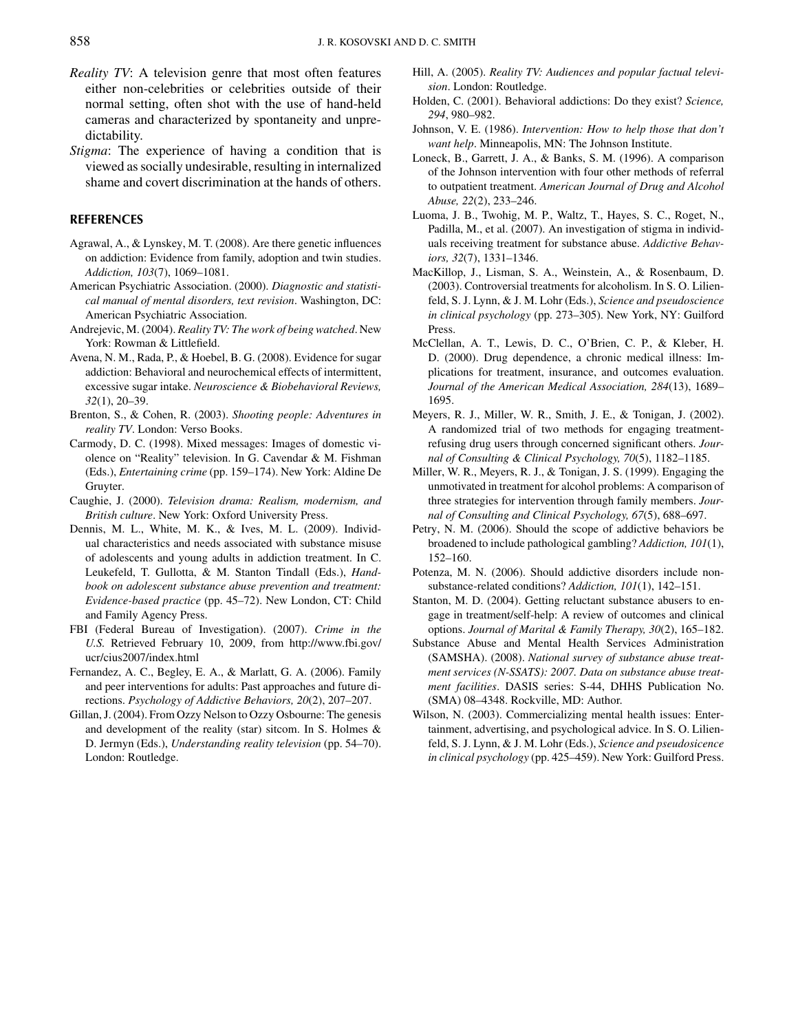- *Reality TV: A television genre that most often features either non-celebrities or celebrities outside of their normal setting, often shot with the use of hand-held cameras and characterized by spontaneity and unpredictability.*
- *Stigma: The experience of having a condition that is viewed as socially undesirable, resulting in internalized shame and covert discrimination at the hands of others.*

### *REFERENCES*

- *Agrawal, A., & Lynskey, M. T. (2008). Are there genetic influences on addiction: Evidence from family, adoption and twin studies. Addiction, 103(7), 1069–1081.*
- *American Psychiatric Association. (2000). Diagnostic and statistical manual of mental disorders, text revision. Washington, DC: American Psychiatric Association.*
- *Andrejevic, M. (2004). Reality TV: The work of being watched. New York: Rowman & Littlefield.*
- *Avena, N. M., Rada, P., & Hoebel, B. G. (2008). Evidence for sugar addiction: Behavioral and neurochemical effects of intermittent, excessive sugar intake. Neuroscience & Biobehavioral Reviews, 32(1), 20–39.*
- *Brenton, S., & Cohen, R. (2003). Shooting people: Adventures in reality TV. London: Verso Books.*
- *Carmody, D. C. (1998). Mixed messages: Images of domestic violence on "Reality" television. In G. Cavendar & M. Fishman (Eds.), Entertaining crime (pp. 159–174). New York: Aldine De Gruyter.*
- *Caughie, J. (2000). Television drama: Realism, modernism, and British culture. New York: Oxford University Press.*
- *Dennis, M. L., White, M. K., & Ives, M. L. (2009). Individual characteristics and needs associated with substance misuse of adolescents and young adults in addiction treatment. In C. Leukefeld, T. Gullotta, & M. Stanton Tindall (Eds.), Handbook on adolescent substance abuse prevention and treatment: Evidence-based practice (pp. 45–72). New London, CT: Child and Family Agency Press.*
- *FBI (Federal Bureau of Investigation). (2007). Crime in the U.S. Retrieved February 10, 2009, from http://www.fbi.gov/ ucr/cius2007/index.html*
- *Fernandez, A. C., Begley, E. A., & Marlatt, G. A. (2006). Family and peer interventions for adults: Past approaches and future directions. Psychology of Addictive Behaviors, 20(2), 207–207.*
- *Gillan, J. (2004). From Ozzy Nelson to Ozzy Osbourne: The genesis and development of the reality (star) sitcom. In S. Holmes & D. Jermyn (Eds.), Understanding reality television (pp. 54–70). London: Routledge.*
- *Hill, A. (2005). Reality TV: Audiences and popular factual television. London: Routledge.*
- *Holden, C. (2001). Behavioral addictions: Do they exist? Science, 294, 980–982.*
- *Johnson, V. E. (1986). Intervention: How to help those that don't want help. Minneapolis, MN: The Johnson Institute.*
- *Loneck, B., Garrett, J. A., & Banks, S. M. (1996). A comparison of the Johnson intervention with four other methods of referral to outpatient treatment. American Journal of Drug and Alcohol Abuse, 22(2), 233–246.*
- *Luoma, J. B., Twohig, M. P., Waltz, T., Hayes, S. C., Roget, N., Padilla, M., et al. (2007). An investigation of stigma in individuals receiving treatment for substance abuse. Addictive Behaviors, 32(7), 1331–1346.*
- *MacKillop, J., Lisman, S. A., Weinstein, A., & Rosenbaum, D. (2003). Controversial treatments for alcoholism. In S. O. Lilienfeld, S. J. Lynn, & J. M. Lohr (Eds.), Science and pseudoscience in clinical psychology (pp. 273–305). New York, NY: Guilford Press.*
- *McClellan, A. T., Lewis, D. C., O'Brien, C. P., & Kleber, H. D. (2000). Drug dependence, a chronic medical illness: Implications for treatment, insurance, and outcomes evaluation. Journal of the American Medical Association, 284(13), 1689– 1695.*
- *Meyers, R. J., Miller, W. R., Smith, J. E., & Tonigan, J. (2002). A randomized trial of two methods for engaging treatmentrefusing drug users through concerned significant others. Journal of Consulting & Clinical Psychology, 70(5), 1182–1185.*
- *Miller, W. R., Meyers, R. J., & Tonigan, J. S. (1999). Engaging the unmotivated in treatment for alcohol problems: A comparison of three strategies for intervention through family members. Journal of Consulting and Clinical Psychology, 67(5), 688–697.*
- *Petry, N. M. (2006). Should the scope of addictive behaviors be broadened to include pathological gambling? Addiction, 101(1), 152–160.*
- *Potenza, M. N. (2006). Should addictive disorders include nonsubstance-related conditions? Addiction, 101(1), 142–151.*
- *Stanton, M. D. (2004). Getting reluctant substance abusers to engage in treatment/self-help: A review of outcomes and clinical options. Journal of Marital & Family Therapy, 30(2), 165–182.*
- *Substance Abuse and Mental Health Services Administration (SAMSHA). (2008). National survey of substance abuse treatment services (N-SSATS): 2007. Data on substance abuse treatment facilities. DASIS series: S-44, DHHS Publication No. (SMA) 08–4348. Rockville, MD: Author.*
- *Wilson, N. (2003). Commercializing mental health issues: Entertainment, advertising, and psychological advice. In S. O. Lilienfeld, S. J. Lynn, & J. M. Lohr (Eds.), Science and pseudosicence in clinical psychology (pp. 425–459). New York: Guilford Press.*